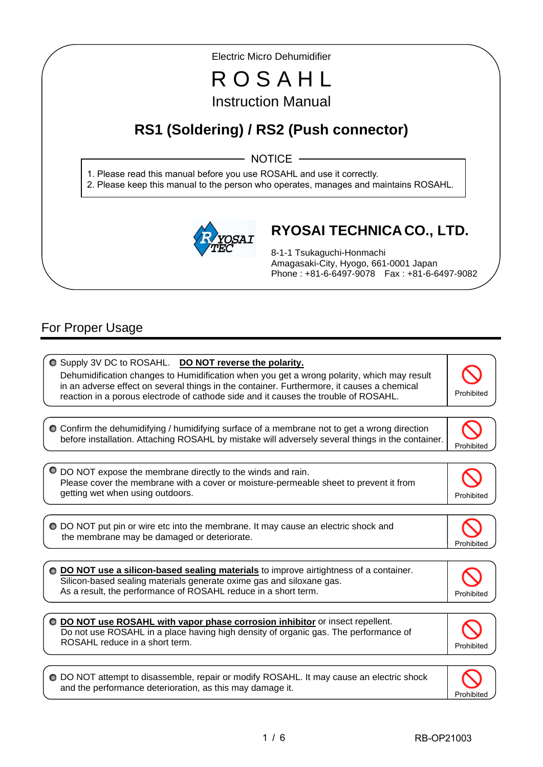Electric Micro Dehumidifier

# R O S A H L Instruction Manual

# **RS1 (Soldering) / RS2 (Push connector)**

- NOTICE -

1. Please read this manual before you use ROSAHL and use it correctly.

2. Please keep this manual to the person who operates, manages and maintains ROSAHL.



## **RYOSAI TECHNICA CO., LTD.**

8-1-1 Tsukaguchi-Honmachi Amagasaki-City, Hyogo, 661-0001 Japan Phone : +81-6-6497-9078 Fax : +81-6-6497-9082

## For Proper Usage

I I

I

 $\overline{\phantom{a}}$ 

 $\bullet$  Supply 3V DC to ROSAHL. **DO NOT reverse the polarity.** Dehumidification changes to Humidification when you get a wrong polarity, which may result in an adverse effect on several things in the container. Furthermore, it causes a chemical reaction in a porous electrode of cathode side and it causes the trouble of ROSAHL. Confirm the dehumidifying / humidifying surface of a membrane not to get a wrong direction before installation. Attaching ROSAHL by mistake will adversely several things in the container. Prohibited DO NOT expose the membrane directly to the winds and rain. Please cover the membrane with a cover or moisture-permeable sheet to prevent it from getting wet when using outdoors. **Prohibited** and the set of the set of the set of the set of the set of the set of the set of the set of the set of the set of the set of the set of the set of the set of the set of the set DO NOT put pin or wire etc into the membrane. It may cause an electric shock and the membrane may be damaged or deteriorate. Prohibited **DO NOT use a silicon-based sealing materials** to improve airtightness of a container. Silicon-based sealing materials generate oxime gas and siloxane gas. As a result, the performance of ROSAHL reduce in a short term. **DO NOT use ROSAHL with vapor phase corrosion inhibitor** or insect repellent. Do not use ROSAHL in a place having high density of organic gas. The performance of ROSAHL reduce in a short term.  $\overline{a}$ Prohibited O DO NOT attempt to disassemble, repair or modify ROSAHL. It may cause an electric shock

Prohibited

and the performance deterioration, as this may damage it.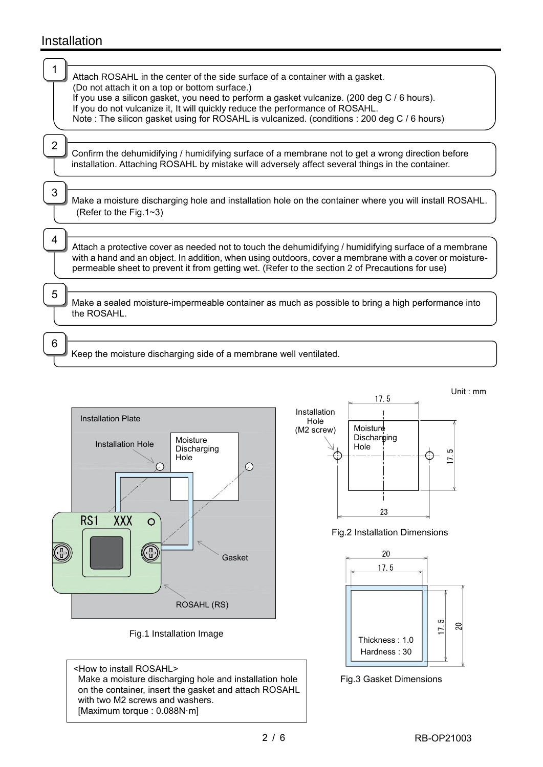## Installation

|   | Attach ROSAHL in the center of the side surface of a container with a gasket.<br>(Do not attach it on a top or bottom surface.)                                                                                                                                                                                      |
|---|----------------------------------------------------------------------------------------------------------------------------------------------------------------------------------------------------------------------------------------------------------------------------------------------------------------------|
|   | If you use a silicon gasket, you need to perform a gasket vulcanize. (200 deg C / 6 hours).<br>If you do not vulcanize it, It will quickly reduce the performance of ROSAHL.<br>Note: The silicon gasket using for ROSAHL is vulcanized. (conditions: 200 deg C / 6 hours)                                           |
|   |                                                                                                                                                                                                                                                                                                                      |
|   | Confirm the dehumidifying / humidifying surface of a membrane not to get a wrong direction before<br>installation. Attaching ROSAHL by mistake will adversely affect several things in the container.                                                                                                                |
| 3 |                                                                                                                                                                                                                                                                                                                      |
|   | Make a moisture discharging hole and installation hole on the container where you will install ROSAHL.<br>(Refer to the Fig.1~3)                                                                                                                                                                                     |
| 4 |                                                                                                                                                                                                                                                                                                                      |
|   | Attach a protective cover as needed not to touch the dehumidifying / humidifying surface of a membrane<br>with a hand and an object. In addition, when using outdoors, cover a membrane with a cover or moisture-<br>permeable sheet to prevent it from getting wet. (Refer to the section 2 of Precautions for use) |
|   |                                                                                                                                                                                                                                                                                                                      |
| 5 | Make a sealed moisture-impermeable container as much as possible to bring a high performance into<br>the ROSAHL.                                                                                                                                                                                                     |
|   |                                                                                                                                                                                                                                                                                                                      |
|   | Keep the moisture discharging side of a membrane well ventilated.                                                                                                                                                                                                                                                    |





<How to install ROSAHL> Make a moisture discharging hole and installation hole on the container, insert the gasket and attach ROSAHL with two M2 screws and washers. [Maximum torque : 0.088N·m]



Fig.2 Installation Dimensions



Fig.3 Gasket Dimensions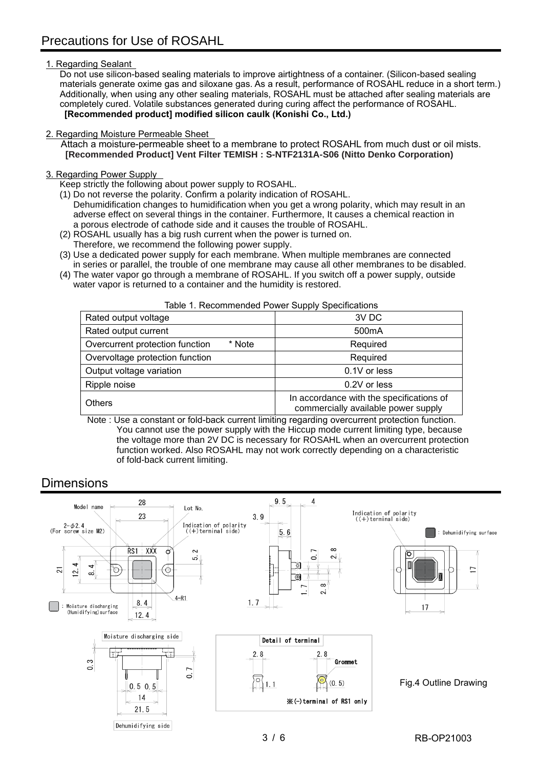#### 1. Regarding Sealant

Do not use silicon-based sealing materials to improve airtightness of a container. (Silicon-based sealing materials generate oxime gas and siloxane gas. As a result, performance of ROSAHL reduce in a short term.) Additionally, when using any other sealing materials, ROSAHL must be attached after sealing materials are completely cured. Volatile substances generated during curing affect the performance of ROSAHL. **[Recommended product] modified silicon caulk (Konishi Co., Ltd.)**

#### 2. Regarding Moisture Permeable Sheet

Attach a moisture-permeable sheet to a membrane to protect ROSAHL from much dust or oil mists. **[Recommended Product] Vent Filter TEMISH : S-NTF2131A-S06 (Nitto Denko Corporation)**

#### 3. Regarding Power Supply

Keep strictly the following about power supply to ROSAHL.

- (1) Do not reverse the polarity. Confirm a polarity indication of ROSAHL. Dehumidification changes to humidification when you get a wrong polarity, which may result in an adverse effect on several things in the container. Furthermore, It causes a chemical reaction in a porous electrode of cathode side and it causes the trouble of ROSAHL.
- (2) ROSAHL usually has a big rush current when the power is turned on.
- Therefore, we recommend the following power supply.

of fold-back current limiting.

- (3) Use a dedicated power supply for each membrane. When multiple membranes are connected in series or parallel, the trouble of one membrane may cause all other membranes to be disabled.
- (4) The water vapor go through a membrane of ROSAHL. If you switch off a power supply, outside water vapor is returned to a container and the humidity is restored.

|                                           | .                                                                               |
|-------------------------------------------|---------------------------------------------------------------------------------|
| Rated output voltage                      | 3V DC                                                                           |
| Rated output current                      | 500 <sub>m</sub> A                                                              |
| Overcurrent protection function<br>* Note | Required                                                                        |
| Overvoltage protection function           | Required                                                                        |
| Output voltage variation                  | 0.1V or less                                                                    |
| Ripple noise                              | 0.2V or less                                                                    |
| <b>Others</b>                             | In accordance with the specifications of<br>commercially available power supply |

Table 1. Recommended Power Supply Specifications

 Note : Use a constant or fold-back current limiting regarding overcurrent protection function. You cannot use the power supply with the Hiccup mode current limiting type, because the voltage more than 2V DC is necessary for ROSAHL when an overcurrent protection function worked. Also ROSAHL may not work correctly depending on a characteristic

### Dimensions

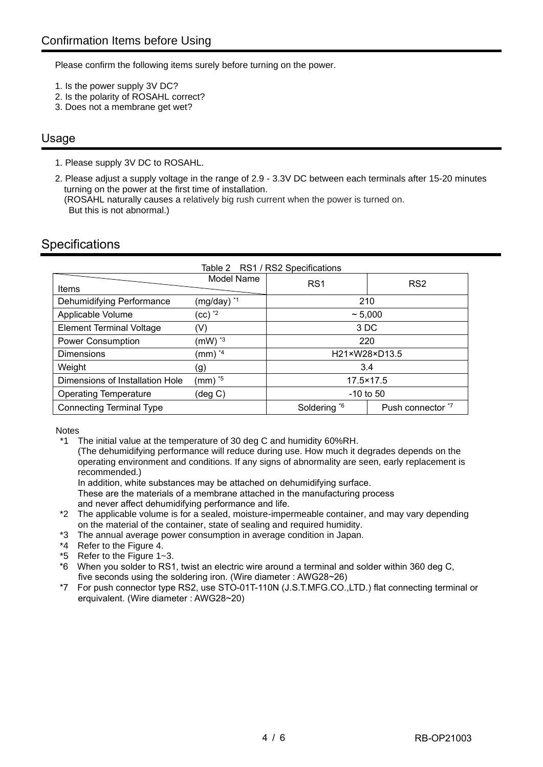Please confirm the following items surely before turning on the power.

- 1. Is the power supply 3V DC?
- 2. Is the polarity of ROSAHL correct?
- 3. Does not a membrane get wet?

### Usage

1. Please supply 3V DC to ROSAHL.

2. Please adjust a supply voltage in the range of 2.9 - 3.3V DC between each terminals after 15-20 minutes turning on the power at the first time of installation. (ROSAHL naturally causes a relatively big rush current when the power is turned on. But this is not abnormal.)

## **Specifications**

| Table 2 RS1 / RS2 Specifications        |                         |                 |                   |  |
|-----------------------------------------|-------------------------|-----------------|-------------------|--|
| Items                                   | Model Name              | RS <sub>1</sub> | RS <sub>2</sub>   |  |
| Dehumidifying Performance               | (mg/day) *1             | 210             |                   |  |
| Applicable Volume                       | $(cc)$ $^*$             | ~5,000          |                   |  |
| <b>Element Terminal Voltage</b>         | (V)                     | 3 DC            |                   |  |
| <b>Power Consumption</b>                | $(mW)^*$ <sup>3</sup>   | 220             |                   |  |
| Dimensions                              | $\text{(mm)}^{\star 4}$ | H21×W28×D13.5   |                   |  |
| Weight                                  | (g)                     | 3.4             |                   |  |
| Dimensions of Installation Hole         | (mm) * <sup>5</sup>     | 17.5×17.5       |                   |  |
| <b>Operating Temperature</b><br>(deg C) |                         | $-10$ to 50     |                   |  |
| <b>Connecting Terminal Type</b>         |                         | Soldering *6    | Push connector *7 |  |

**Notes** 

\*1 The initial value at the temperature of 30 deg C and humidity 60%RH.

(The dehumidifying performance will reduce during use. How much it degrades depends on the operating environment and conditions. If any signs of abnormality are seen, early replacement is recommended.)

In addition, white substances may be attached on dehumidifying surface.

These are the materials of a membrane attached in the manufacturing process

- and never affect dehumidifying performance and life.
- \*2 The applicable volume is for a sealed, moisture-impermeable container, and may vary depending on the material of the container, state of sealing and required humidity.
- \*3 The annual average power consumption in average condition in Japan.
- \*4 Refer to the Figure 4.
- \*5 Refer to the Figure 1~3.
- \*6 When you solder to RS1, twist an electric wire around a terminal and solder within 360 deg C, five seconds using the soldering iron. (Wire diameter : AWG28~26)
- \*7 For push connector type RS2, use STO-01T-110N (J.S.T.MFG.CO.,LTD.) flat connecting terminal or erquivalent. (Wire diameter : AWG28~20)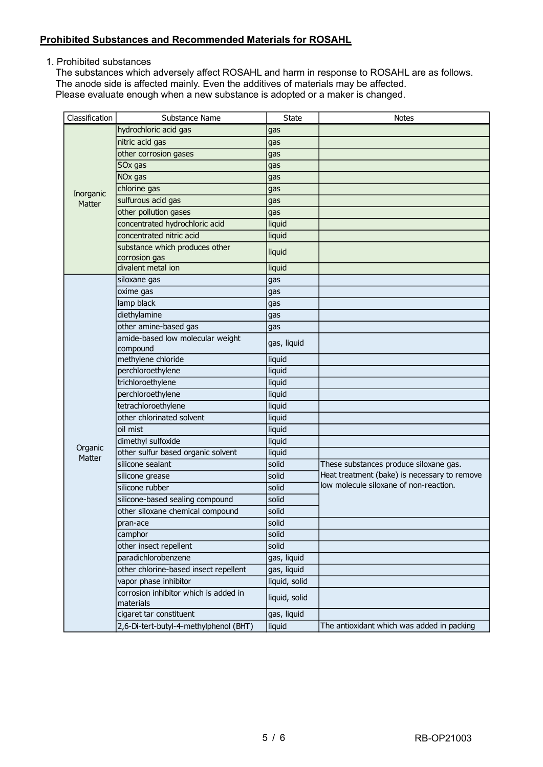#### **Prohibited Substances and Recommended Materials for ROSAHL**

1. Prohibited substances

The substances which adversely affect ROSAHL and harm in response to ROSAHL are as follows. The anode side is affected mainly. Even the additives of materials may be affected. Please evaluate enough when a new substance is adopted or a maker is changed.

| Classification | Substance Name                                     | <b>State</b>  | <b>Notes</b>                                                                           |
|----------------|----------------------------------------------------|---------------|----------------------------------------------------------------------------------------|
|                | hydrochloric acid gas                              | gas           |                                                                                        |
|                | nitric acid gas                                    | gas           |                                                                                        |
|                | other corrosion gases                              | gas           |                                                                                        |
|                | SOx gas                                            | gas           |                                                                                        |
|                | NO <sub>x</sub> gas                                | gas           |                                                                                        |
| Inorganic      | chlorine gas                                       | gas           |                                                                                        |
| Matter         | sulfurous acid gas                                 | gas           |                                                                                        |
|                | other pollution gases                              | gas           |                                                                                        |
|                | concentrated hydrochloric acid                     | liquid        |                                                                                        |
|                | concentrated nitric acid                           | liquid        |                                                                                        |
|                | substance which produces other                     | liquid        |                                                                                        |
|                | corrosion gas                                      |               |                                                                                        |
|                | divalent metal ion                                 | liquid        |                                                                                        |
|                | siloxane gas                                       | gas           |                                                                                        |
|                | oxime gas                                          | gas           |                                                                                        |
|                | lamp black                                         | gas           |                                                                                        |
|                | diethylamine                                       | gas           |                                                                                        |
|                | other amine-based gas                              | gas           |                                                                                        |
|                | amide-based low molecular weight                   | gas, liquid   |                                                                                        |
|                | compound                                           |               |                                                                                        |
|                | methylene chloride                                 | liquid        |                                                                                        |
|                | perchloroethylene                                  | liquid        |                                                                                        |
|                | trichloroethylene                                  | liquid        |                                                                                        |
|                | perchloroethylene                                  | liquid        |                                                                                        |
|                | tetrachloroethylene<br>other chlorinated solvent   | liquid        |                                                                                        |
|                |                                                    | liquid        |                                                                                        |
|                | oil mist                                           | liquid        |                                                                                        |
| Organic        | dimethyl sulfoxide                                 | liquid        |                                                                                        |
| Matter         | other sulfur based organic solvent                 | liquid        |                                                                                        |
|                | silicone sealant                                   | solid         | These substances produce siloxane gas.<br>Heat treatment (bake) is necessary to remove |
|                | silicone grease                                    | solid         | low molecule siloxane of non-reaction.                                                 |
|                | silicone rubber                                    | solid         |                                                                                        |
|                | silicone-based sealing compound                    | solid         |                                                                                        |
|                | other siloxane chemical compound                   | solid         |                                                                                        |
|                | pran-ace                                           | solid         |                                                                                        |
|                | camphor                                            | solid         |                                                                                        |
|                | other insect repellent                             | solid         |                                                                                        |
|                | paradichlorobenzene                                | gas, liquid   |                                                                                        |
|                | other chlorine-based insect repellent              | gas, liquid   |                                                                                        |
|                | vapor phase inhibitor                              | liquid, solid |                                                                                        |
|                | corrosion inhibitor which is added in<br>materials | liquid, solid |                                                                                        |
|                | cigaret tar constituent                            | gas, liquid   |                                                                                        |
|                | 2,6-Di-tert-butyl-4-methylphenol (BHT)             | liquid        | The antioxidant which was added in packing                                             |